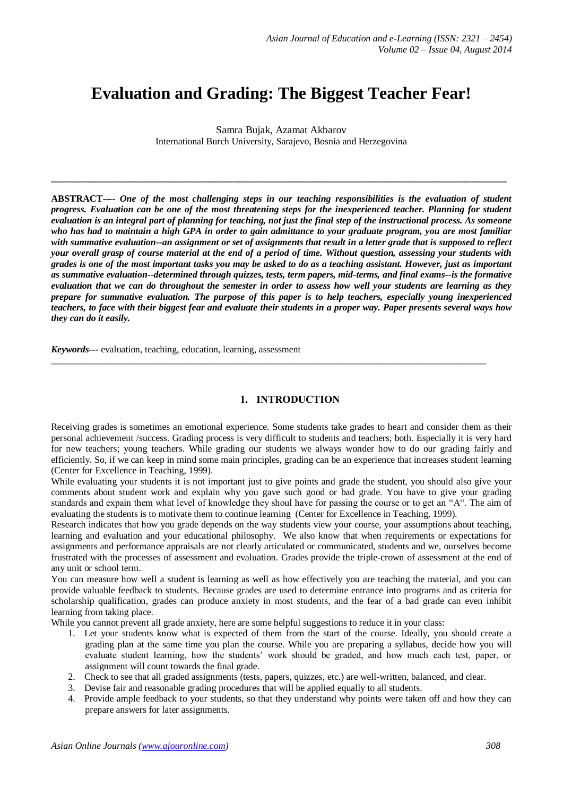# **Evaluation and Grading: The Biggest Teacher Fear!**

Samra Bujak, Azamat Akbarov International Burch University, Sarajevo, Bosnia and Herzegovina

\_\_\_\_\_\_\_\_\_\_\_\_\_\_\_\_\_\_\_\_\_\_\_\_\_\_\_\_\_\_\_\_\_\_\_\_\_\_\_\_\_\_\_\_\_\_\_\_\_\_\_\_\_\_\_\_\_\_\_\_\_\_\_\_\_\_\_\_\_\_\_\_\_\_\_\_\_\_\_\_\_\_\_\_\_\_\_\_

**ABSTRACT----** *One of the most challenging steps in our teaching responsibilities is the evaluation of student progress. Evaluation can be one of the most threatening steps for the inexperienced teacher. Planning for student evaluation is an integral part of planning for teaching, not just the final step of the instructional process. As someone who has had to maintain a high GPA in order to gain admittance to your graduate program, you are most familiar with summative evaluation--an assignment or set of assignments that result in a letter grade that is supposed to reflect your overall grasp of course material at the end of a period of time. Without question, assessing your students with grades is one of the most important tasks you may be asked to do as a teaching assistant. However, just as important as summative evaluation--determined through quizzes, tests, term papers, mid-terms, and final exams--is the formative evaluation that we can do throughout the semester in order to assess how well your students are learning as they prepare for summative evaluation. The purpose of this paper is to help teachers, especially young inexperienced teachers, to face with their biggest fear and evaluate their students in a proper way. Paper presents several ways how they can do it easily.* 

*Keywords---* evaluation, teaching, education, learning, assessment

#### **1. INTRODUCTION**

 $\_$  ,  $\_$  ,  $\_$  ,  $\_$  ,  $\_$  ,  $\_$  ,  $\_$  ,  $\_$  ,  $\_$  ,  $\_$  ,  $\_$  ,  $\_$  ,  $\_$  ,  $\_$  ,  $\_$  ,  $\_$  ,  $\_$  ,  $\_$  ,  $\_$  ,  $\_$  ,  $\_$  ,  $\_$  ,  $\_$  ,  $\_$  ,  $\_$  ,  $\_$  ,  $\_$  ,  $\_$  ,  $\_$  ,  $\_$  ,  $\_$  ,  $\_$  ,  $\_$  ,  $\_$  ,  $\_$  ,  $\_$  ,  $\_$  ,

Receiving grades is sometimes an emotional experience. Some students take grades to heart and consider them as their personal achievement /success. Grading process is very difficult to students and teachers; both. Especially it is very hard for new teachers; young teachers. While grading our students we always wonder how to do our grading fairly and efficiently. So, if we can keep in mind some main principles, grading can be an experience that increases student learning (Center for Excellence in Teaching, 1999).

While evaluating your students it is not important just to give points and grade the student, you should also give your comments about student work and explain why you gave such good or bad grade. You have to give your grading standards and expain them what level of knowledge they shoul have for passing the course or to get an "A". The aim of evaluating the students is to motivate them to continue learning (Center for Excellence in Teaching, 1999).

Research indicates that how you grade depends on the way students view your course, your assumptions about teaching, learning and evaluation and your educational philosophy. We also know that when requirements or expectations for assignments and performance appraisals are not clearly articulated or communicated, students and we, ourselves become frustrated with the processes of assessment and evaluation. Grades provide the triple-crown of assessment at the end of any unit or school term.

You can measure how well a student is learning as well as how effectively you are teaching the material, and you can provide valuable feedback to students. Because grades are used to determine entrance into programs and as criteria for scholarship qualification, grades can produce anxiety in most students, and the fear of a bad grade can even inhibit learning from taking place.

While you cannot prevent all grade anxiety, here are some helpful suggestions to reduce it in your class:

- 1. Let your students know what is expected of them from the start of the course. Ideally, you should create a grading plan at the same time you plan the course. While you are preparing a syllabus, decide how you will evaluate student learning, how the students' work should be graded, and how much each test, paper, or assignment will count towards the final grade.
- 2. Check to see that all graded assignments (tests, papers, quizzes, etc.) are well-written, balanced, and clear.
- 3. Devise fair and reasonable grading procedures that will be applied equally to all students.
- 4. Provide ample feedback to your students, so that they understand why points were taken off and how they can prepare answers for later assignments.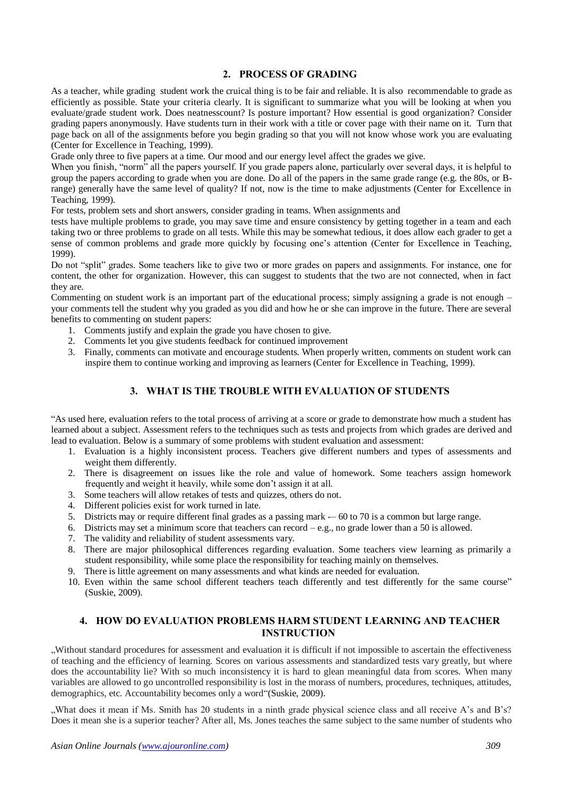### **2. PROCESS OF GRADING**

As a teacher, while grading student work the cruical thing is to be fair and reliable. It is also recommendable to grade as efficiently as possible. State your criteria clearly. It is significant to summarize what you will be looking at when you evaluate/grade student work. Does neatnesscount? Is posture important? How essential is good organization? Consider grading papers anonymously. Have students turn in their work with a title or cover page with their name on it. Turn that page back on all of the assignments before you begin grading so that you will not know whose work you are evaluating (Center for Excellence in Teaching, 1999).

Grade only three to five papers at a time. Our mood and our energy level affect the grades we give.

When you finish, "norm" all the papers yourself. If you grade papers alone, particularly over several days, it is helpful to group the papers according to grade when you are done. Do all of the papers in the same grade range (e.g. the 80s, or Brange) generally have the same level of quality? If not, now is the time to make adjustments (Center for Excellence in Teaching, 1999).

For tests, problem sets and short answers, consider grading in teams. When assignments and

tests have multiple problems to grade, you may save time and ensure consistency by getting together in a team and each taking two or three problems to grade on all tests. While this may be somewhat tedious, it does allow each grader to get a sense of common problems and grade more quickly by focusing one's attention (Center for Excellence in Teaching, 1999).

Do not "split" grades. Some teachers like to give two or more grades on papers and assignments. For instance, one for content, the other for organization. However, this can suggest to students that the two are not connected, when in fact they are.

Commenting on student work is an important part of the educational process; simply assigning a grade is not enough – your comments tell the student why you graded as you did and how he or she can improve in the future. There are several benefits to commenting on student papers:

- 1. Comments justify and explain the grade you have chosen to give.
- 2. Comments let you give students feedback for continued improvement
- 3. Finally, comments can motivate and encourage students. When properly written, comments on student work can inspire them to continue working and improving as learners (Center for Excellence in Teaching, 1999).

## **3. WHAT IS THE TROUBLE WITH EVALUATION OF STUDENTS**

"As used here, evaluation refers to the total process of arriving at a score or grade to demonstrate how much a student has learned about a subject. Assessment refers to the techniques such as tests and projects from which grades are derived and lead to evaluation. Below is a summary of some problems with student evaluation and assessment:

- 1. Evaluation is a highly inconsistent process. Teachers give different numbers and types of assessments and weight them differently.
- 2. There is disagreement on issues like the role and value of homework. Some teachers assign homework frequently and weight it heavily, while some don't assign it at all.
- 3. Some teachers will allow retakes of tests and quizzes, others do not.
- 4. Different policies exist for work turned in late.
- 5. Districts may or require different final grades as a passing mark -– 60 to 70 is a common but large range.
- 6. Districts may set a minimum score that teachers can record e.g., no grade lower than a 50 is allowed.
- 7. The validity and reliability of student assessments vary.
- 8. There are major philosophical differences regarding evaluation. Some teachers view learning as primarily a student responsibility, while some place the responsibility for teaching mainly on themselves.
- 9. There is little agreement on many assessments and what kinds are needed for evaluation.
- 10. Even within the same school different teachers teach differently and test differently for the same course" (Suskie, 2009).

## **4. HOW DO EVALUATION PROBLEMS HARM STUDENT LEARNING AND TEACHER INSTRUCTION**

"Without standard procedures for assessment and evaluation it is difficult if not impossible to ascertain the effectiveness of teaching and the efficiency of learning. Scores on various assessments and standardized tests vary greatly, but where does the accountability lie? With so much inconsistency it is hard to glean meaningful data from scores. When many variables are allowed to go uncontrolled responsibility is lost in the morass of numbers, procedures, techniques, attitudes, demographics, etc. Accountability becomes only a word"(Suskie, 2009).

"What does it mean if Ms. Smith has 20 students in a ninth grade physical science class and all receive A's and B's? Does it mean she is a superior teacher? After all, Ms. Jones teaches the same subject to the same number of students who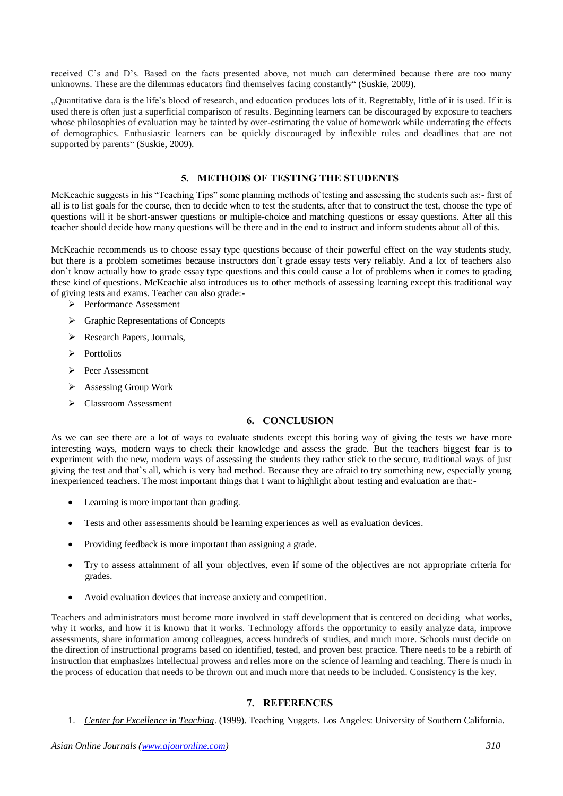received C's and D's. Based on the facts presented above, not much can determined because there are too many unknowns. These are the dilemmas educators find themselves facing constantly" (Suskie, 2009).

"Quantitative data is the life's blood of research, and education produces lots of it. Regrettably, little of it is used. If it is used there is often just a superficial comparison of results. Beginning learners can be discouraged by exposure to teachers whose philosophies of evaluation may be tainted by over-estimating the value of homework while underrating the effects of demographics. Enthusiastic learners can be quickly discouraged by inflexible rules and deadlines that are not supported by parents" (Suskie, 2009).

### **5. METHODS OF TESTING THE STUDENTS**

McKeachie suggests in his "Teaching Tips" some planning methods of testing and assessing the students such as:- first of all is to list goals for the course, then to decide when to test the students, after that to construct the test, choose the type of questions will it be short-answer questions or multiple-choice and matching questions or essay questions. After all this teacher should decide how many questions will be there and in the end to instruct and inform students about all of this.

McKeachie recommends us to choose essay type questions because of their powerful effect on the way students study, but there is a problem sometimes because instructors don`t grade essay tests very reliably. And a lot of teachers also don`t know actually how to grade essay type questions and this could cause a lot of problems when it comes to grading these kind of questions. McKeachie also introduces us to other methods of assessing learning except this traditional way of giving tests and exams. Teacher can also grade:-

- Performance Assessment
- Graphic Representations of Concepts
- $\triangleright$  Research Papers, Journals,
- > Portfolios
- Peer Assessment
- Assessing Group Work
- Classroom Assessment

# **6. CONCLUSION**

As we can see there are a lot of ways to evaluate students except this boring way of giving the tests we have more interesting ways, modern ways to check their knowledge and assess the grade. But the teachers biggest fear is to experiment with the new, modern ways of assessing the students they rather stick to the secure, traditional ways of just giving the test and that`s all, which is very bad method. Because they are afraid to try something new, especially young inexperienced teachers. The most important things that I want to highlight about testing and evaluation are that:-

- Learning is more important than grading.
- Tests and other assessments should be learning experiences as well as evaluation devices.
- Providing feedback is more important than assigning a grade.
- Try to assess attainment of all your objectives, even if some of the objectives are not appropriate criteria for grades.
- Avoid evaluation devices that increase anxiety and competition.

Teachers and administrators must become more involved in staff development that is centered on deciding what works, why it works, and how it is known that it works. Technology affords the opportunity to easily analyze data, improve assessments, share information among colleagues, access hundreds of studies, and much more. Schools must decide on the direction of instructional programs based on identified, tested, and proven best practice. There needs to be a rebirth of instruction that emphasizes intellectual prowess and relies more on the science of learning and teaching. There is much in the process of education that needs to be thrown out and much more that needs to be included. Consistency is the key.

## **7. REFERENCES**

1. *Center for Excellence in Teaching*. (1999). Teaching Nuggets. Los Angeles: University of Southern California.